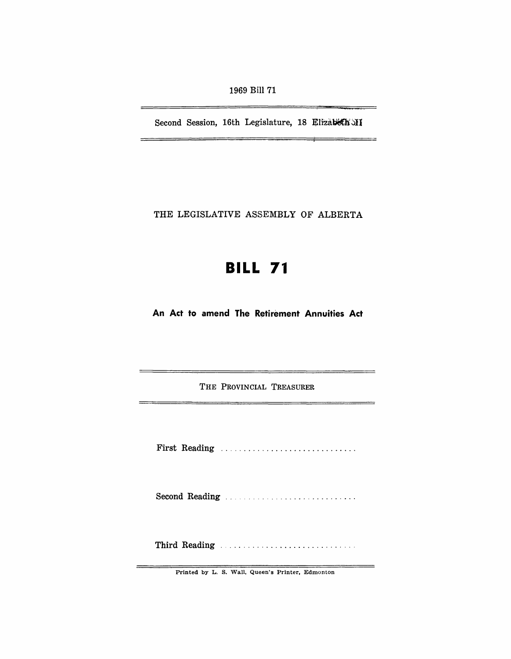1969 Bill 71

Second Session, 16th Legislature, 18 Elizabeth MI

THE LEGISLATIVE ASSEMBLY OF ALBERTA

# **BILL 71**

**An Act to amend The Retirement Annuities Act** 

THE PROVINCIAL TREASURER

First Reading ...................................

Second Reading ............................ .

Third Reading ............................. .

Printed by L. S. Wall, Queen's Printer, Edmonton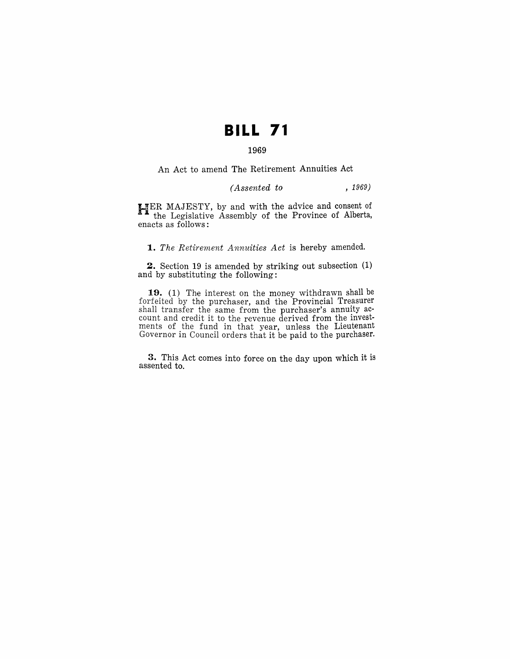## **BILL 71**

## 1969

An Act to amend The Retirement Annuities Act

## *(Assented to* , 1969)

HER MAJESTY, by and with the advice and consent of  $\triangle$  the Legislative Assembly of the Province of Alberta, enacts as follows:

1. The Retirement Annuities Act is hereby amended.

2. Section 19 is amended by striking out subsection (1) and by substituting the following:

19. (1) The interest on the money withdrawn shall be forfeited by the purchaser, and the Provincial Treasurer shall transfer the same from the purchaser's annuity account and credit it to the revenue derived from the investments of the fund in that year, unless the Lieutenant Governor in Council orders that it be paid to the purchaser.

3. This Act comes into force on the day upon which it is assented to.